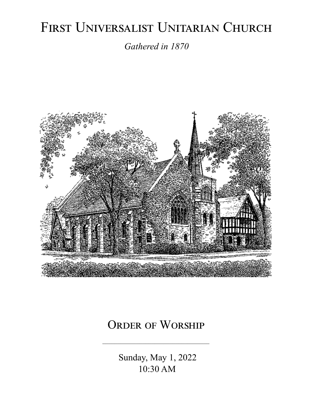# FIRST UNIVERSALIST UNITARIAN CHURCH

*Gathered in 1870*



# ORDER OF WORSHIP

 Sunday, May 1, 2022 10:30 AM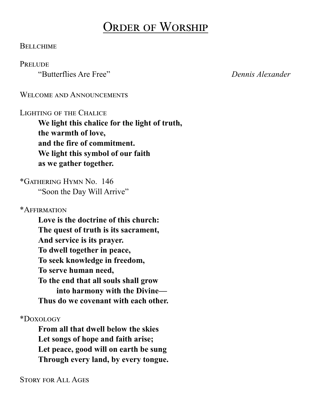# Order of Worship

#### **BELLCHIME**

#### **PRELUDE**

"Butterflies Are Free" *Dennis Alexander*

#### WELCOME AND ANNOUNCEMENTS

#### Lighting of the Chalice

**We light this chalice for the light of truth, the warmth of love, and the fire of commitment. We light this symbol of our faith as we gather together.**

\*Gathering Hymn No. 146 "Soon the Day Will Arrive"

\*Affirmation

**Love is the doctrine of this church: The quest of truth is its sacrament, And service is its prayer. To dwell together in peace, To seek knowledge in freedom, To serve human need, To the end that all souls shall grow into harmony with the Divine— Thus do we covenant with each other.**

\*Doxology

**From all that dwell below the skies Let songs of hope and faith arise; Let peace, good will on earth be sung Through every land, by every tongue.**

Story for All Ages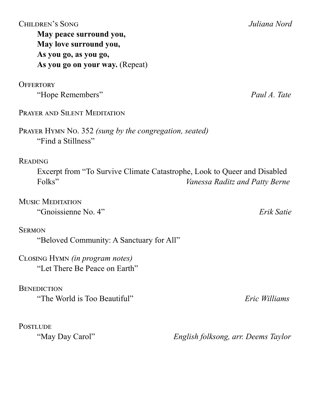| <b>CHILDREN'S SONG</b>                                                       | Juliana Nord                          |
|------------------------------------------------------------------------------|---------------------------------------|
| May peace surround you,                                                      |                                       |
| May love surround you,                                                       |                                       |
| As you go, as you go,                                                        |                                       |
| As you go on your way. (Repeat)                                              |                                       |
|                                                                              |                                       |
| <b>OFFERTORY</b>                                                             |                                       |
| "Hope Remembers"                                                             | Paul A. Tate                          |
| <b>PRAYER AND SILENT MEDITATION</b>                                          |                                       |
| PRAYER HYMN No. 352 (sung by the congregation, seated)<br>"Find a Stillness" |                                       |
| <b>READING</b>                                                               |                                       |
| Excerpt from "To Survive Climate Catastrophe, Look to Queer and Disabled     |                                       |
| Folks"                                                                       | <i>Vanessa Raditz and Patty Berne</i> |
|                                                                              |                                       |
| <b>MUSIC MEDITATION</b>                                                      |                                       |
| "Gnoissienne No. 4"                                                          | Erik Satie                            |
|                                                                              |                                       |
| <b>SERMON</b>                                                                |                                       |
| "Beloved Community: A Sanctuary for All"                                     |                                       |
|                                                                              |                                       |
| CLOSING HYMN <i>(in program notes)</i>                                       |                                       |
| "Let There Be Peace on Earth"                                                |                                       |
| <b>BENEDICTION</b>                                                           |                                       |
| "The World is Too Beautiful"                                                 | Eric Williams                         |
|                                                                              |                                       |
|                                                                              |                                       |
| <b>POSTLUDE</b>                                                              |                                       |
| "May Day Carol"                                                              | English folksong, arr. Deems Taylor   |
|                                                                              |                                       |